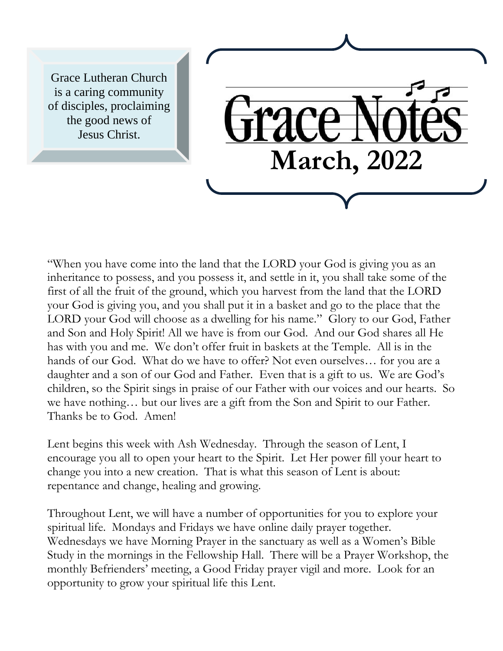Grace Lutheran Church is a caring community of disciples, proclaiming the good news of Jesus Christ.

"When you have come into the land that the LORD your God is giving you as an inheritance to possess, and you possess it, and settle in it, you shall take some of the first of all the fruit of the ground, which you harvest from the land that the LORD your God is giving you, and you shall put it in a basket and go to the place that the LORD your God will choose as a dwelling for his name." Glory to our God, Father and Son and Holy Spirit! All we have is from our God. And our God shares all He has with you and me. We don't offer fruit in baskets at the Temple. All is in the hands of our God. What do we have to offer? Not even ourselves… for you are a daughter and a son of our God and Father. Even that is a gift to us. We are God's children, so the Spirit sings in praise of our Father with our voices and our hearts. So we have nothing… but our lives are a gift from the Son and Spirit to our Father. Thanks be to God. Amen!

**March, 2022**

Lent begins this week with Ash Wednesday. Through the season of Lent, I encourage you all to open your heart to the Spirit. Let Her power fill your heart to change you into a new creation. That is what this season of Lent is about: repentance and change, healing and growing.

Throughout Lent, we will have a number of opportunities for you to explore your spiritual life. Mondays and Fridays we have online daily prayer together. Wednesdays we have Morning Prayer in the sanctuary as well as a Women's Bible Study in the mornings in the Fellowship Hall. There will be a Prayer Workshop, the monthly Befrienders' meeting, a Good Friday prayer vigil and more. Look for an opportunity to grow your spiritual life this Lent.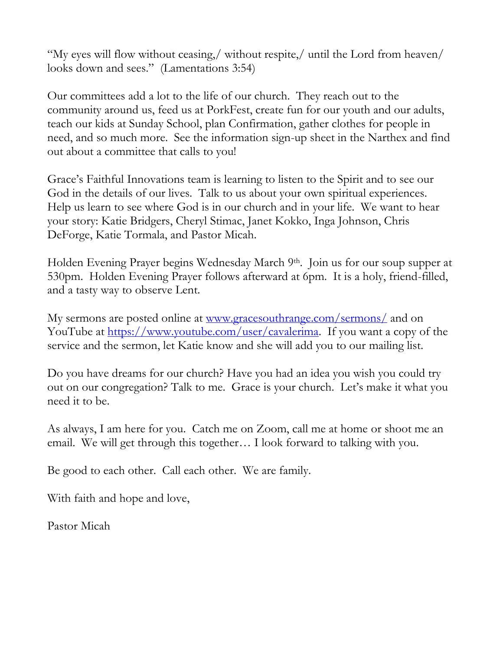"My eyes will flow without ceasing,/ without respite,/ until the Lord from heaven/ looks down and sees." (Lamentations 3:54)

Our committees add a lot to the life of our church. They reach out to the community around us, feed us at PorkFest, create fun for our youth and our adults, teach our kids at Sunday School, plan Confirmation, gather clothes for people in need, and so much more. See the information sign-up sheet in the Narthex and find out about a committee that calls to you!

Grace's Faithful Innovations team is learning to listen to the Spirit and to see our God in the details of our lives. Talk to us about your own spiritual experiences. Help us learn to see where God is in our church and in your life. We want to hear your story: Katie Bridgers, Cheryl Stimac, Janet Kokko, Inga Johnson, Chris DeForge, Katie Tormala, and Pastor Micah.

Holden Evening Prayer begins Wednesday March 9<sup>th</sup>. Join us for our soup supper at 530pm. Holden Evening Prayer follows afterward at 6pm. It is a holy, friend-filled, and a tasty way to observe Lent.

My sermons are posted online at <u>www.gracesouthrange.com/sermons/</u> and on YouTube at [https://www.youtube.com/user/cavalerima.](https://www.youtube.com/user/cavalerima) If you want a copy of the service and the sermon, let Katie know and she will add you to our mailing list.

Do you have dreams for our church? Have you had an idea you wish you could try out on our congregation? Talk to me. Grace is your church. Let's make it what you need it to be.

As always, I am here for you. Catch me on Zoom, call me at home or shoot me an email. We will get through this together… I look forward to talking with you.

Be good to each other. Call each other. We are family.

With faith and hope and love,

Pastor Micah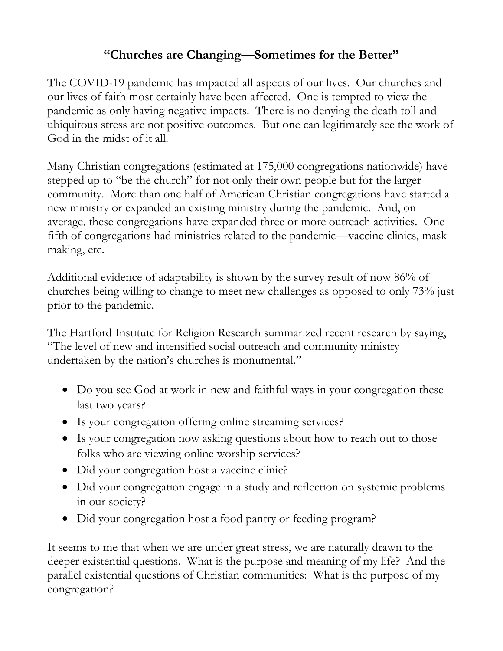#### **"Churches are Changing—Sometimes for the Better"**

The COVID-19 pandemic has impacted all aspects of our lives. Our churches and our lives of faith most certainly have been affected. One is tempted to view the pandemic as only having negative impacts. There is no denying the death toll and ubiquitous stress are not positive outcomes. But one can legitimately see the work of God in the midst of it all.

Many Christian congregations (estimated at 175,000 congregations nationwide) have stepped up to "be the church" for not only their own people but for the larger community. More than one half of American Christian congregations have started a new ministry or expanded an existing ministry during the pandemic. And, on average, these congregations have expanded three or more outreach activities. One fifth of congregations had ministries related to the pandemic—vaccine clinics, mask making, etc.

Additional evidence of adaptability is shown by the survey result of now 86% of churches being willing to change to meet new challenges as opposed to only 73% just prior to the pandemic.

The Hartford Institute for Religion Research summarized recent research by saying, "The level of new and intensified social outreach and community ministry undertaken by the nation's churches is monumental."

- Do you see God at work in new and faithful ways in your congregation these last two years?
- Is your congregation offering online streaming services?
- Is your congregation now asking questions about how to reach out to those folks who are viewing online worship services?
- Did your congregation host a vaccine clinic?
- Did your congregation engage in a study and reflection on systemic problems in our society?
- Did your congregation host a food pantry or feeding program?

It seems to me that when we are under great stress, we are naturally drawn to the deeper existential questions. What is the purpose and meaning of my life? And the parallel existential questions of Christian communities: What is the purpose of my congregation?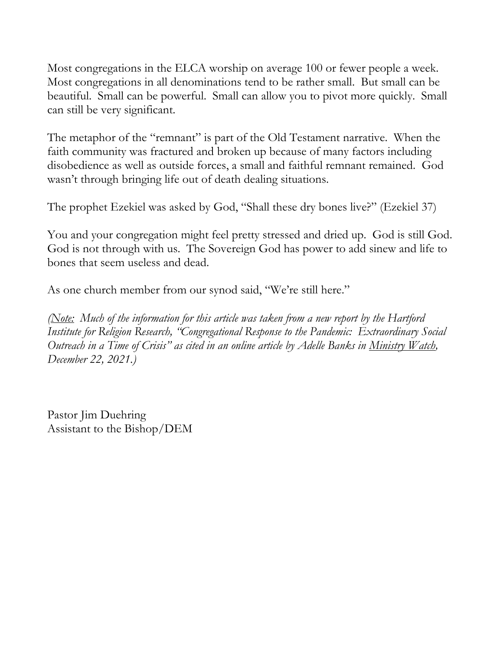Most congregations in the ELCA worship on average 100 or fewer people a week. Most congregations in all denominations tend to be rather small. But small can be beautiful. Small can be powerful. Small can allow you to pivot more quickly. Small can still be very significant.

The metaphor of the "remnant" is part of the Old Testament narrative. When the faith community was fractured and broken up because of many factors including disobedience as well as outside forces, a small and faithful remnant remained. God wasn't through bringing life out of death dealing situations.

The prophet Ezekiel was asked by God, "Shall these dry bones live?" (Ezekiel 37)

You and your congregation might feel pretty stressed and dried up. God is still God. God is not through with us. The Sovereign God has power to add sinew and life to bones that seem useless and dead.

As one church member from our synod said, "We're still here."

*(Note: Much of the information for this article was taken from a new report by the Hartford Institute for Religion Research, "Congregational Response to the Pandemic: Extraordinary Social Outreach in a Time of Crisis" as cited in an online article by Adelle Banks in Ministry Watch, December 22, 2021.)*

Pastor Jim Duehring Assistant to the Bishop/DEM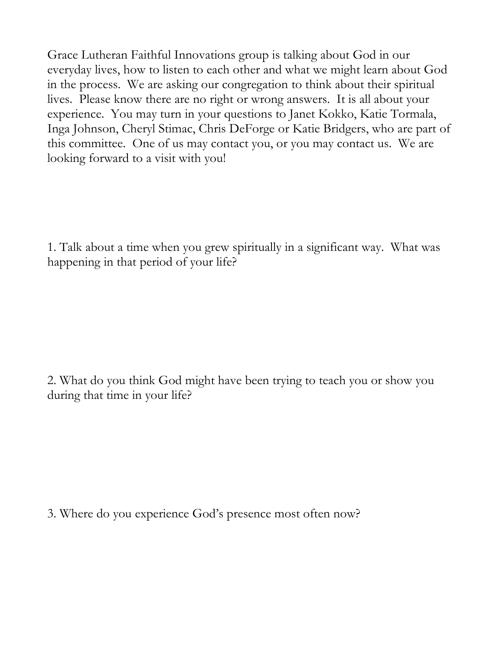Grace Lutheran Faithful Innovations group is talking about God in our everyday lives, how to listen to each other and what we might learn about God in the process. We are asking our congregation to think about their spiritual lives. Please know there are no right or wrong answers. It is all about your experience. You may turn in your questions to Janet Kokko, Katie Tormala, Inga Johnson, Cheryl Stimac, Chris DeForge or Katie Bridgers, who are part of this committee. One of us may contact you, or you may contact us. We are looking forward to a visit with you!

1. Talk about a time when you grew spiritually in a significant way. What was happening in that period of your life?

2. What do you think God might have been trying to teach you or show you during that time in your life?

3. Where do you experience God's presence most often now?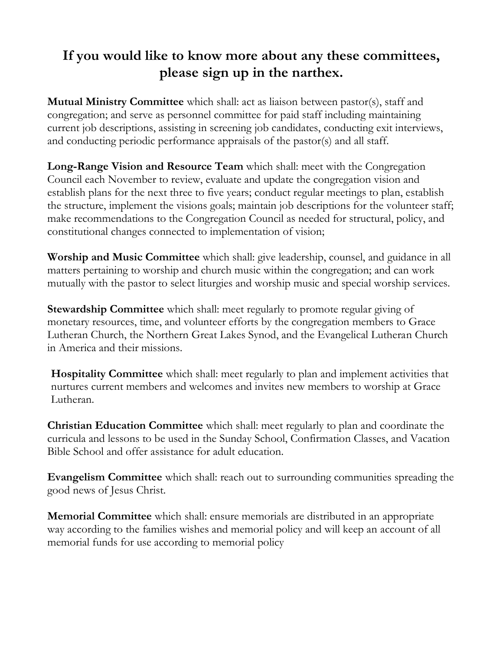# **If you would like to know more about any these committees, please sign up in the narthex.**

**Mutual Ministry Committee** which shall: act as liaison between pastor(s), staff and congregation; and serve as personnel committee for paid staff including maintaining current job descriptions, assisting in screening job candidates, conducting exit interviews, and conducting periodic performance appraisals of the pastor(s) and all staff.

**Long-Range Vision and Resource Team** which shall: meet with the Congregation Council each November to review, evaluate and update the congregation vision and establish plans for the next three to five years; conduct regular meetings to plan, establish the structure, implement the visions goals; maintain job descriptions for the volunteer staff; make recommendations to the Congregation Council as needed for structural, policy, and constitutional changes connected to implementation of vision;

**Worship and Music Committee** which shall: give leadership, counsel, and guidance in all matters pertaining to worship and church music within the congregation; and can work mutually with the pastor to select liturgies and worship music and special worship services.

**Stewardship Committee** which shall: meet regularly to promote regular giving of monetary resources, time, and volunteer efforts by the congregation members to Grace Lutheran Church, the Northern Great Lakes Synod, and the Evangelical Lutheran Church in America and their missions.

**Hospitality Committee** which shall: meet regularly to plan and implement activities that nurtures current members and welcomes and invites new members to worship at Grace Lutheran.

**Christian Education Committee** which shall: meet regularly to plan and coordinate the curricula and lessons to be used in the Sunday School, Confirmation Classes, and Vacation Bible School and offer assistance for adult education.

**Evangelism Committee** which shall: reach out to surrounding communities spreading the good news of Jesus Christ.

**Memorial Committee** which shall: ensure memorials are distributed in an appropriate way according to the families wishes and memorial policy and will keep an account of all memorial funds for use according to memorial policy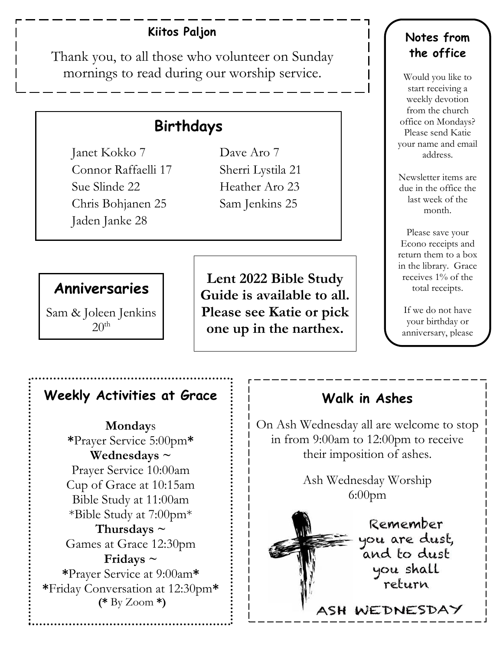#### **Kiitos Paljon**

Thank you, to all those who volunteer on Sunday mornings to read during our worship service.

l

# **Birthdays**

Janet Kokko 7 Dave Aro 7 Connor Raffaelli 17 Sherri Lystila 21 Sue Slinde 22 Heather Aro 23 Chris Bohjanen 25 Sam Jenkins 25 Jaden Janke 28

# **Anniversaries**

Sam & Joleen Jenkins  $20<sup>th</sup>$ 

**Lent 2022 Bible Study Guide is available to all. Please see Katie or pick one up in the narthex.**

#### **Notes from the office**

Would you like to start receiving a weekly devotion from the church office on Mondays? Please send Katie your name and email address.

Newsletter items are due in the office the last week of the month.

Please save your Econo receipts and return them to a box in the library. Grace receives 1% of the total receipts.

If we do not have your birthday or anniversary, please

let us know.

#### **Weekly Activities at Grace**

**Monday**s **\***Prayer Service 5:00pm**\* Wednesdays ~** Prayer Service 10:00am Cup of Grace at 10:15am Bible Study at 11:00am \*Bible Study at 7:00pm\* **Thursdays ~** Games at Grace 12:30pm **Fridays ~ \***Prayer Service at 9:00am**\* \***Friday Conversation at 12:30pm**\* (\*** By Zoom **\*)**

#### **Walk in Ashes**

On Ash Wednesday all are welcome to stop in from 9:00am to 12:00pm to receive their imposition of ashes.

> Ash Wednesday Worship 6:00pm

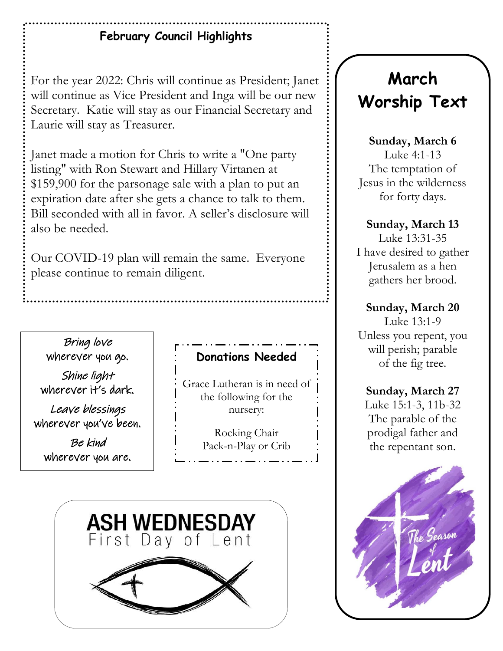# **February Council Highlights**

For the year 2022: Chris will continue as President; Janet will continue as Vice President and Inga will be our new Secretary. Katie will stay as our Financial Secretary and Laurie will stay as Treasurer.

Janet made a motion for Chris to write a "One party listing" with Ron Stewart and Hillary Virtanen at \$159,900 for the parsonage sale with a plan to put an expiration date after she gets a chance to talk to them. Bill seconded with all in favor. A seller's disclosure will also be needed.

Our COVID-19 plan will remain the same. Everyone please continue to remain diligent.

Bring love wherever you go.

Shine light wherever it's dark.

Leave blessings wherever you've been.

Be kind wherever you are.

### **Donations Needed**

Grace Lutheran is in need of the following for the nursery:

> Rocking Chair Pack-n-Play or Crib



# **March Worship Text**

**Sunday, March 6**

Luke 4:1-13 The temptation of Jesus in the wilderness for forty days.

#### **Sunday, March 13**

Luke 13:31-35 I have desired to gather Jerusalem as a hen gathers her brood.

#### **Sunday, March 20**

Luke 13:1-9 Unless you repent, you will perish; parable of the fig tree.

#### **Sunday, March 27** Luke 15:1-3, 11b-32 The parable of the prodigal father and the repentant son.

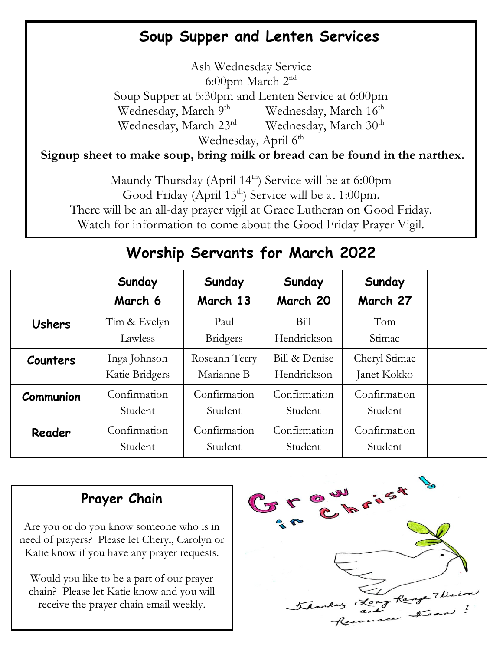# **Soup Supper and Lenten Services**

Ash Wednesday Service 6:00pm March 2nd Soup Supper at 5:30pm and Lenten Service at 6:00pm Wednesday, March 9<sup>th</sup> Wednesday, March 16<sup>th</sup> Wednesday, March 23<sup>rd</sup> Wednesday, March 30<sup>th</sup> Wednesday, April  $6<sup>th</sup>$ 

**Signup sheet to make soup, bring milk or bread can be found in the narthex.**

Maundy Thursday (April 14<sup>th</sup>) Service will be at 6:00pm Good Friday (April  $15<sup>th</sup>$ ) Service will be at 1:00pm. There will be an all-day prayer vigil at Grace Lutheran on Good Friday. Watch for information to come about the Good Friday Prayer Vigil.

|               | Sunday<br>March 6              | Sunday<br>March 13          | Sunday<br>March 20           | Sunday<br>March 27           |  |
|---------------|--------------------------------|-----------------------------|------------------------------|------------------------------|--|
| <b>Ushers</b> | Tim & Evelyn<br>Lawless        | Paul<br><b>Bridgers</b>     | Bill<br>Hendrickson          | Tom<br>Stimac                |  |
| Counters      | Inga Johnson<br>Katie Bridgers | Roseann Terry<br>Marianne B | Bill & Denise<br>Hendrickson | Cheryl Stimac<br>Janet Kokko |  |
| Communion     | Confirmation<br>Student        | Confirmation<br>Student     | Confirmation<br>Student      | Confirmation<br>Student      |  |
| Reader        | Confirmation<br>Student        | Confirmation<br>Student     | Confirmation<br>Student      | Confirmation<br>Student      |  |

# **Worship Servants for March 2022**

# **Prayer Chain**

Are you or do you know someone who is in need of prayers? Please let Cheryl, Carolyn or Katie know if you have any prayer requests.

Would you like to be a part of our prayer chain? Please let Katie know and you will receive the prayer chain email weekly.

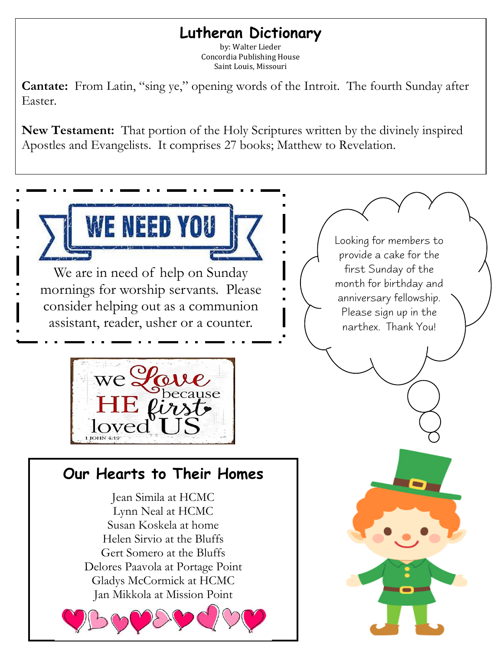# **Lutheran Dictionary**

by: Walter Lieder Concordia Publishing House Saint Louis, Missouri

**Cantate:** From Latin, "sing ye," opening words of the Introit. The fourth Sunday after Easter.

**New Testament:** That portion of the Holy Scriptures written by the divinely inspired Apostles and Evangelists. It comprises 27 books; Matthew to Revelation.

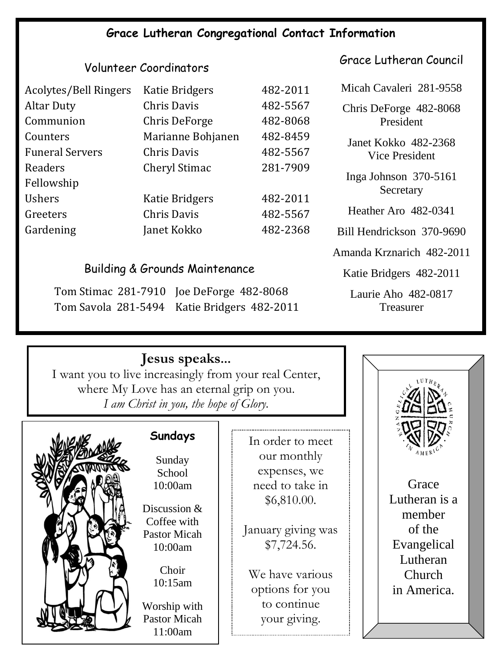### **Grace Lutheran Congregational Contact Information**

#### Volunteer Coordinators

| Acolytes/Bell Ringers  | <b>Katie Bridgers</b> | 482-2011 |
|------------------------|-----------------------|----------|
| <b>Altar Duty</b>      | <b>Chris Davis</b>    | 482-5567 |
| Communion              | Chris DeForge         | 482-8068 |
| Counters               | Marianne Bohjanen     | 482-8459 |
| <b>Funeral Servers</b> | <b>Chris Davis</b>    | 482-5567 |
| Readers                | <b>Cheryl Stimac</b>  | 281-7909 |
| Fellowship             |                       |          |
| <b>Ushers</b>          | <b>Katie Bridgers</b> | 482-2011 |
| Greeters               | <b>Chris Davis</b>    | 482-5567 |
| Gardening              | Janet Kokko           | 482-2368 |

#### Building & Grounds Maintenance

Tom Stimac 281-7910 Joe DeForge 482-8068 Tom Savola 281-5494 Katie Bridgers 482-2011 Grace Lutheran Council

Micah Cavaleri 281-9558

Chris DeForge 482-8068 President

Janet Kokko 482-2368 Vice President

Inga Johnson 370-5161 **Secretary** 

Heather Aro 482-0341

Bill Hendrickson 370-9690

Amanda Krznarich 482-2011

Katie Bridgers 482-2011

Laurie Aho 482-0817 Treasurer

### **Jesus speaks...**

 I want you to live increasingly from your real Center, where My Love has an eternal grip on you. *I am Christ in you, the hope of Glory.*



### **Sundays**

Sunday School 10:00am

Discussion & Coffee with Pastor Micah 10:00am

> Choir 10:15am

Worship with Pastor Micah 11:00am

In order to meet our monthly expenses, we need to take in \$6,810.00.

January giving was \$7,724.56.

We have various options for you to continue your giving.